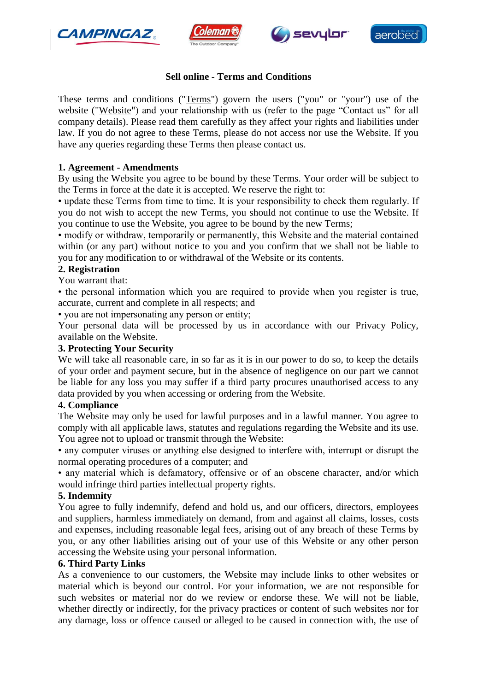







# **Sell online - Terms and Conditions**

These terms and conditions ("Terms") govern the users ("you" or "your") use of the website ("Website") and your relationship with us (refer to the page "Contact us" for all company details). Please read them carefully as they affect your rights and liabilities under law. If you do not agree to these Terms, please do not access nor use the Website. If you have any queries regarding these Terms then please contact us.

## **1. Agreement - Amendments**

By using the Website you agree to be bound by these Terms. Your order will be subject to the Terms in force at the date it is accepted. We reserve the right to:

• update these Terms from time to time. It is your responsibility to check them regularly. If you do not wish to accept the new Terms, you should not continue to use the Website. If you continue to use the Website, you agree to be bound by the new Terms;

• modify or withdraw, temporarily or permanently, this Website and the material contained within (or any part) without notice to you and you confirm that we shall not be liable to you for any modification to or withdrawal of the Website or its contents.

### **2. Registration**

You warrant that:

• the personal information which you are required to provide when you register is true, accurate, current and complete in all respects; and

• you are not impersonating any person or entity;

Your personal data will be processed by us in accordance with our Privacy Policy, available on the Website.

### **3. Protecting Your Security**

We will take all reasonable care, in so far as it is in our power to do so, to keep the details of your order and payment secure, but in the absence of negligence on our part we cannot be liable for any loss you may suffer if a third party procures unauthorised access to any data provided by you when accessing or ordering from the Website.

#### **4. Compliance**

The Website may only be used for lawful purposes and in a lawful manner. You agree to comply with all applicable laws, statutes and regulations regarding the Website and its use. You agree not to upload or transmit through the Website:

• any computer viruses or anything else designed to interfere with, interrupt or disrupt the normal operating procedures of a computer; and

• any material which is defamatory, offensive or of an obscene character, and/or which would infringe third parties intellectual property rights.

## **5. Indemnity**

You agree to fully indemnify, defend and hold us, and our officers, directors, employees and suppliers, harmless immediately on demand, from and against all claims, losses, costs and expenses, including reasonable legal fees, arising out of any breach of these Terms by you, or any other liabilities arising out of your use of this Website or any other person accessing the Website using your personal information.

## **6. Third Party Links**

As a convenience to our customers, the Website may include links to other websites or material which is beyond our control. For your information, we are not responsible for such websites or material nor do we review or endorse these. We will not be liable, whether directly or indirectly, for the privacy practices or content of such websites nor for any damage, loss or offence caused or alleged to be caused in connection with, the use of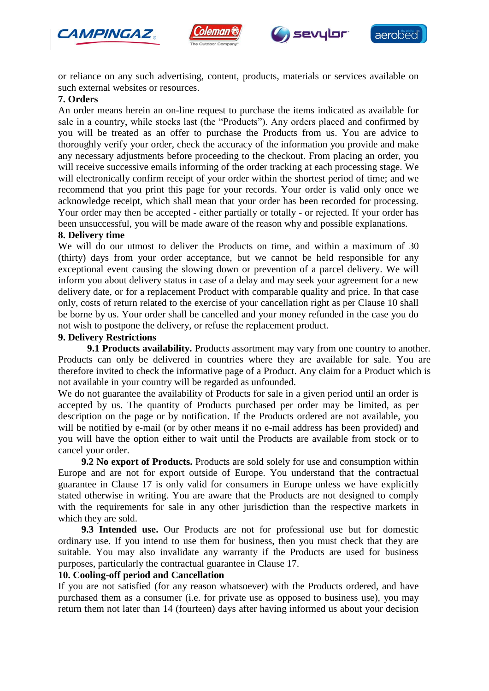







or reliance on any such advertising, content, products, materials or services available on such external websites or resources.

### **7. Orders**

An order means herein an on-line request to purchase the items indicated as available for sale in a country, while stocks last (the "Products"). Any orders placed and confirmed by you will be treated as an offer to purchase the Products from us. You are advice to thoroughly verify your order, check the accuracy of the information you provide and make any necessary adjustments before proceeding to the checkout. From placing an order, you will receive successive emails informing of the order tracking at each processing stage. We will electronically confirm receipt of your order within the shortest period of time; and we recommend that you print this page for your records. Your order is valid only once we acknowledge receipt, which shall mean that your order has been recorded for processing. Your order may then be accepted - either partially or totally - or rejected. If your order has been unsuccessful, you will be made aware of the reason why and possible explanations.

### **8. Delivery time**

We will do our utmost to deliver the Products on time, and within a maximum of 30 (thirty) days from your order acceptance, but we cannot be held responsible for any exceptional event causing the slowing down or prevention of a parcel delivery. We will inform you about delivery status in case of a delay and may seek your agreement for a new delivery date, or for a replacement Product with comparable quality and price. In that case only, costs of return related to the exercise of your cancellation right as per Clause 10 shall be borne by us. Your order shall be cancelled and your money refunded in the case you do not wish to postpone the delivery, or refuse the replacement product.

### **9. Delivery Restrictions**

**9.1 Products availability.** Products assortment may vary from one country to another. Products can only be delivered in countries where they are available for sale. You are therefore invited to check the informative page of a Product. Any claim for a Product which is not available in your country will be regarded as unfounded.

We do not guarantee the availability of Products for sale in a given period until an order is accepted by us. The quantity of Products purchased per order may be limited, as per description on the page or by notification. If the Products ordered are not available, you will be notified by e-mail (or by other means if no e-mail address has been provided) and you will have the option either to wait until the Products are available from stock or to cancel your order.

**9.2 No export of Products.** Products are sold solely for use and consumption within Europe and are not for export outside of Europe. You understand that the contractual guarantee in Clause 17 is only valid for consumers in Europe unless we have explicitly stated otherwise in writing. You are aware that the Products are not designed to comply with the requirements for sale in any other jurisdiction than the respective markets in which they are sold.

**9.3 Intended use.** Our Products are not for professional use but for domestic ordinary use. If you intend to use them for business, then you must check that they are suitable. You may also invalidate any warranty if the Products are used for business purposes, particularly the contractual guarantee in Clause 17.

# **10. Cooling-off period and Cancellation**

If you are not satisfied (for any reason whatsoever) with the Products ordered, and have purchased them as a consumer (i.e. for private use as opposed to business use), you may return them not later than 14 (fourteen) days after having informed us about your decision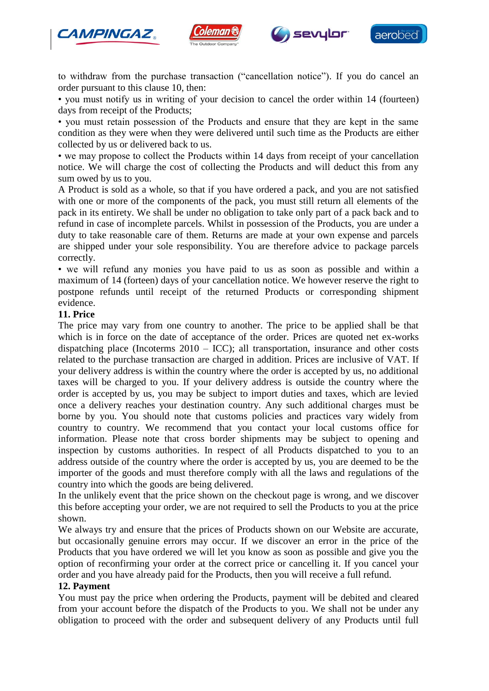







• you must notify us in writing of your decision to cancel the order within 14 (fourteen) days from receipt of the Products;

• you must retain possession of the Products and ensure that they are kept in the same condition as they were when they were delivered until such time as the Products are either collected by us or delivered back to us.

• we may propose to collect the Products within 14 days from receipt of your cancellation notice. We will charge the cost of collecting the Products and will deduct this from any sum owed by us to you.

A Product is sold as a whole, so that if you have ordered a pack, and you are not satisfied with one or more of the components of the pack, you must still return all elements of the pack in its entirety. We shall be under no obligation to take only part of a pack back and to refund in case of incomplete parcels. Whilst in possession of the Products, you are under a duty to take reasonable care of them. Returns are made at your own expense and parcels are shipped under your sole responsibility. You are therefore advice to package parcels correctly.

• we will refund any monies you have paid to us as soon as possible and within a maximum of 14 (forteen) days of your cancellation notice. We however reserve the right to postpone refunds until receipt of the returned Products or corresponding shipment evidence.

### **11. Price**

The price may vary from one country to another. The price to be applied shall be that which is in force on the date of acceptance of the order. Prices are quoted net ex-works dispatching place (Incoterms  $2010 - ICC$ ); all transportation, insurance and other costs related to the purchase transaction are charged in addition. Prices are inclusive of VAT. If your delivery address is within the country where the order is accepted by us, no additional taxes will be charged to you. If your delivery address is outside the country where the order is accepted by us, you may be subject to import duties and taxes, which are levied once a delivery reaches your destination country. Any such additional charges must be borne by you. You should note that customs policies and practices vary widely from country to country. We recommend that you contact your local customs office for information. Please note that cross border shipments may be subject to opening and inspection by customs authorities. In respect of all Products dispatched to you to an address outside of the country where the order is accepted by us, you are deemed to be the importer of the goods and must therefore comply with all the laws and regulations of the country into which the goods are being delivered.

In the unlikely event that the price shown on the checkout page is wrong, and we discover this before accepting your order, we are not required to sell the Products to you at the price shown.

We always try and ensure that the prices of Products shown on our Website are accurate, but occasionally genuine errors may occur. If we discover an error in the price of the Products that you have ordered we will let you know as soon as possible and give you the option of reconfirming your order at the correct price or cancelling it. If you cancel your order and you have already paid for the Products, then you will receive a full refund.

#### **12. Payment**

You must pay the price when ordering the Products, payment will be debited and cleared from your account before the dispatch of the Products to you. We shall not be under any obligation to proceed with the order and subsequent delivery of any Products until full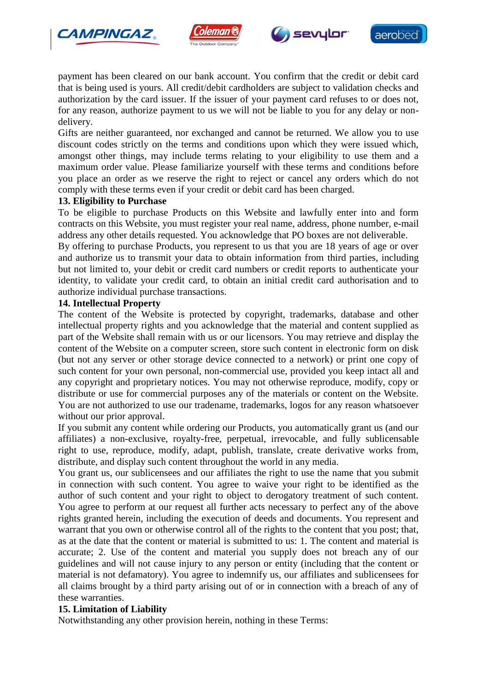







payment has been cleared on our bank account. You confirm that the credit or debit card that is being used is yours. All credit/debit cardholders are subject to validation checks and authorization by the card issuer. If the issuer of your payment card refuses to or does not, for any reason, authorize payment to us we will not be liable to you for any delay or nondelivery.

Gifts are neither guaranteed, nor exchanged and cannot be returned. We allow you to use discount codes strictly on the terms and conditions upon which they were issued which, amongst other things, may include terms relating to your eligibility to use them and a maximum order value. Please familiarize yourself with these terms and conditions before you place an order as we reserve the right to reject or cancel any orders which do not comply with these terms even if your credit or debit card has been charged.

## **13. Eligibility to Purchase**

To be eligible to purchase Products on this Website and lawfully enter into and form contracts on this Website, you must register your real name, address, phone number, e-mail address any other details requested. You acknowledge that PO boxes are not deliverable.

By offering to purchase Products, you represent to us that you are 18 years of age or over and authorize us to transmit your data to obtain information from third parties, including but not limited to, your debit or credit card numbers or credit reports to authenticate your identity, to validate your credit card, to obtain an initial credit card authorisation and to authorize individual purchase transactions.

### **14. Intellectual Property**

The content of the Website is protected by copyright, trademarks, database and other intellectual property rights and you acknowledge that the material and content supplied as part of the Website shall remain with us or our licensors. You may retrieve and display the content of the Website on a computer screen, store such content in electronic form on disk (but not any server or other storage device connected to a network) or print one copy of such content for your own personal, non-commercial use, provided you keep intact all and any copyright and proprietary notices. You may not otherwise reproduce, modify, copy or distribute or use for commercial purposes any of the materials or content on the Website. You are not authorized to use our tradename, trademarks, logos for any reason whatsoever without our prior approval.

If you submit any content while ordering our Products, you automatically grant us (and our affiliates) a non-exclusive, royalty-free, perpetual, irrevocable, and fully sublicensable right to use, reproduce, modify, adapt, publish, translate, create derivative works from, distribute, and display such content throughout the world in any media.

You grant us, our sublicensees and our affiliates the right to use the name that you submit in connection with such content. You agree to waive your right to be identified as the author of such content and your right to object to derogatory treatment of such content. You agree to perform at our request all further acts necessary to perfect any of the above rights granted herein, including the execution of deeds and documents. You represent and warrant that you own or otherwise control all of the rights to the content that you post; that, as at the date that the content or material is submitted to us: 1. The content and material is accurate; 2. Use of the content and material you supply does not breach any of our guidelines and will not cause injury to any person or entity (including that the content or material is not defamatory). You agree to indemnify us, our affiliates and sublicensees for all claims brought by a third party arising out of or in connection with a breach of any of these warranties.

## **15. Limitation of Liability**

Notwithstanding any other provision herein, nothing in these Terms: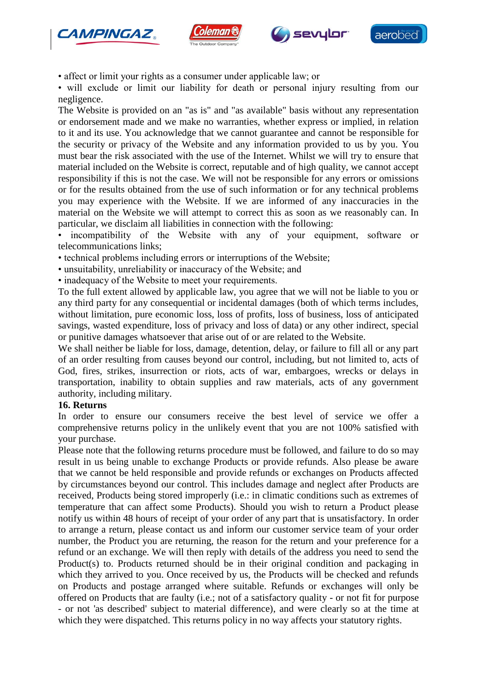







• affect or limit your rights as a consumer under applicable law; or

• will exclude or limit our liability for death or personal injury resulting from our negligence.

The Website is provided on an "as is" and "as available" basis without any representation or endorsement made and we make no warranties, whether express or implied, in relation to it and its use. You acknowledge that we cannot guarantee and cannot be responsible for the security or privacy of the Website and any information provided to us by you. You must bear the risk associated with the use of the Internet. Whilst we will try to ensure that material included on the Website is correct, reputable and of high quality, we cannot accept responsibility if this is not the case. We will not be responsible for any errors or omissions or for the results obtained from the use of such information or for any technical problems you may experience with the Website. If we are informed of any inaccuracies in the material on the Website we will attempt to correct this as soon as we reasonably can. In particular, we disclaim all liabilities in connection with the following:

• incompatibility of the Website with any of your equipment, software or telecommunications links;

- technical problems including errors or interruptions of the Website;
- unsuitability, unreliability or inaccuracy of the Website; and
- inadequacy of the Website to meet your requirements.

To the full extent allowed by applicable law, you agree that we will not be liable to you or any third party for any consequential or incidental damages (both of which terms includes, without limitation, pure economic loss, loss of profits, loss of business, loss of anticipated savings, wasted expenditure, loss of privacy and loss of data) or any other indirect, special or punitive damages whatsoever that arise out of or are related to the Website.

We shall neither be liable for loss, damage, detention, delay, or failure to fill all or any part of an order resulting from causes beyond our control, including, but not limited to, acts of God, fires, strikes, insurrection or riots, acts of war, embargoes, wrecks or delays in transportation, inability to obtain supplies and raw materials, acts of any government authority, including military.

#### **16. Returns**

In order to ensure our consumers receive the best level of service we offer a comprehensive returns policy in the unlikely event that you are not 100% satisfied with your purchase.

Please note that the following returns procedure must be followed, and failure to do so may result in us being unable to exchange Products or provide refunds. Also please be aware that we cannot be held responsible and provide refunds or exchanges on Products affected by circumstances beyond our control. This includes damage and neglect after Products are received, Products being stored improperly (i.e.: in climatic conditions such as extremes of temperature that can affect some Products). Should you wish to return a Product please notify us within 48 hours of receipt of your order of any part that is unsatisfactory. In order to arrange a return, please contact us and inform our customer service team of your order number, the Product you are returning, the reason for the return and your preference for a refund or an exchange. We will then reply with details of the address you need to send the Product(s) to. Products returned should be in their original condition and packaging in which they arrived to you. Once received by us, the Products will be checked and refunds on Products and postage arranged where suitable. Refunds or exchanges will only be offered on Products that are faulty (i.e.; not of a satisfactory quality - or not fit for purpose - or not 'as described' subject to material difference), and were clearly so at the time at which they were dispatched. This returns policy in no way affects your statutory rights.